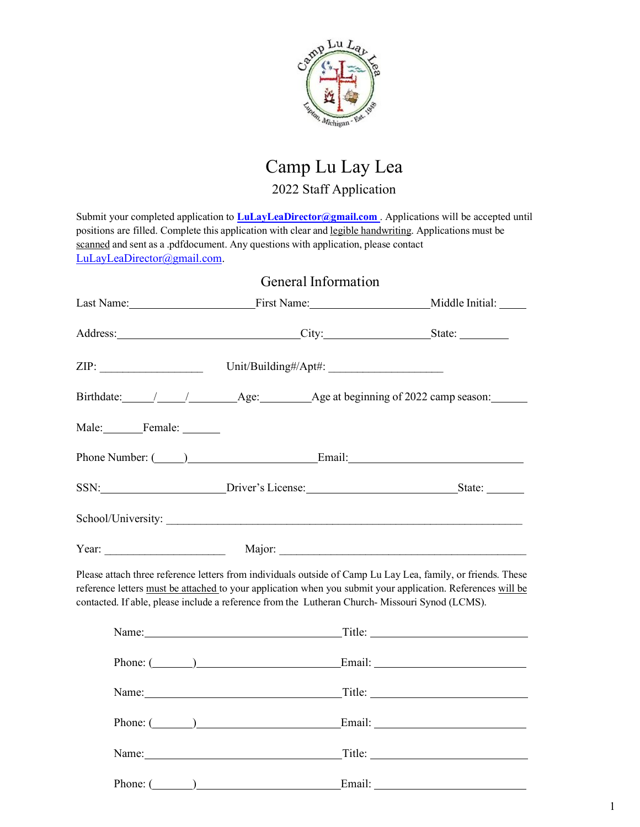

## Camp Lu Lay Lea 2022 Staff Application

Submit your completed application to **LuLayLeaDirector@gmail.com** . Applications will be accepted until positions are filled. Complete this application with clear and legible handwriting. Applications must be scanned and sent as a .pdfdocument. Any questions with application, please contact LuLayLeaDirector@gmail.com.

|               | General Information                                                                                                                                                                                                                                                                                                           |  |
|---------------|-------------------------------------------------------------------------------------------------------------------------------------------------------------------------------------------------------------------------------------------------------------------------------------------------------------------------------|--|
|               | Last Name: First Name: Middle Initial:                                                                                                                                                                                                                                                                                        |  |
|               | Address: City: City: State:                                                                                                                                                                                                                                                                                                   |  |
|               |                                                                                                                                                                                                                                                                                                                               |  |
|               |                                                                                                                                                                                                                                                                                                                               |  |
| Male: Female: |                                                                                                                                                                                                                                                                                                                               |  |
|               | Phone Number: ( <u>U<sub>1</sub>)</u> Email: Email:                                                                                                                                                                                                                                                                           |  |
|               | SSN: SIDENT's License: State: State: State:                                                                                                                                                                                                                                                                                   |  |
|               |                                                                                                                                                                                                                                                                                                                               |  |
|               |                                                                                                                                                                                                                                                                                                                               |  |
|               | Please attach three reference letters from individuals outside of Camp Lu Lay Lea, family, or friends. These<br>reference letters must be attached to your application when you submit your application. References will be<br>contacted. If able, please include a reference from the Lutheran Church-Missouri Synod (LCMS). |  |
|               |                                                                                                                                                                                                                                                                                                                               |  |
|               | Phone: ( ) Email: Email:                                                                                                                                                                                                                                                                                                      |  |
|               | Name: Title: Title:                                                                                                                                                                                                                                                                                                           |  |
|               | Phone: ( <u>University</u> Contact Contact Contact Contact Contact Contact Contact Contact Contact Contact Contact Contact Contact Contact Contact Contact Contact Contact Contact Contact Contact Contact Contact Contact Contact C                                                                                          |  |
|               |                                                                                                                                                                                                                                                                                                                               |  |
|               |                                                                                                                                                                                                                                                                                                                               |  |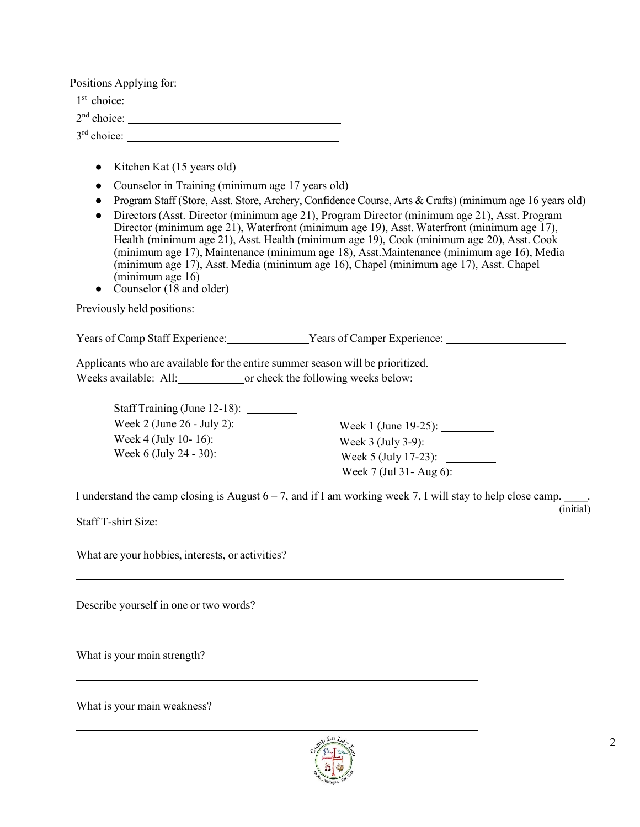Positions Applying for:

1st choice:

 $2<sup>nd</sup> choice:$ 

3rd choice:

- Kitchen Kat (15 years old)
- Counselor in Training (minimum age 17 years old)
- Program Staff (Store, Asst. Store, Archery, Confidence Course, Arts & Crafts) (minimum age 16 years old)
- Directors (Asst. Director (minimum age 21), Program Director (minimum age 21), Asst. Program Director (minimum age 21), Waterfront (minimum age 19), Asst. Waterfront (minimum age 17), Health (minimum age 21), Asst. Health (minimum age 19), Cook (minimum age 20), Asst. Cook (minimum age 17), Maintenance (minimum age 18), Asst.Maintenance (minimum age 16), Media (minimum age 17), Asst. Media (minimum age 16), Chapel (minimum age 17), Asst. Chapel (minimum age 16)
- Counselor (18 and older)

Previously held positions:

Years of Camp Staff Experience: Years of Camper Experience:

Applicants who are available for the entire summer season will be prioritized.

Weeks available: All: or check the following weeks below:

| Staff Training (June 12-18): |                          |
|------------------------------|--------------------------|
| Week 2 (June 26 - July 2):   | Week 1 (June 19-25):     |
| Week 4 (July 10-16):         | Week $3$ (July 3-9):     |
| Week 6 (July 24 - 30):       | Week 5 (July 17-23):     |
|                              | Week 7 (Jul 31 - Aug 6): |

I understand the camp closing is August  $6 - 7$ , and if I am working week 7, I will stay to help close camp. (initial)

Staff T-shirt Size:

What are your hobbies, interests, or activities?

Describe yourself in one or two words?

What is your main strength?

What is your main weakness?

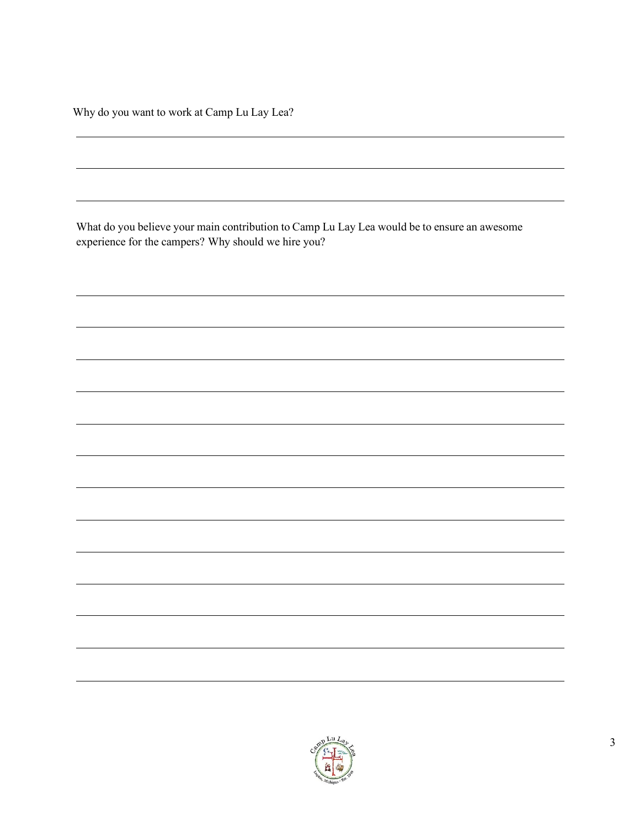Why do you want to work at Camp Lu Lay Lea?

What do you believe your main contribution to Camp Lu Lay Lea would be to ensure an awesome experience for the campers? Why should we hire you?

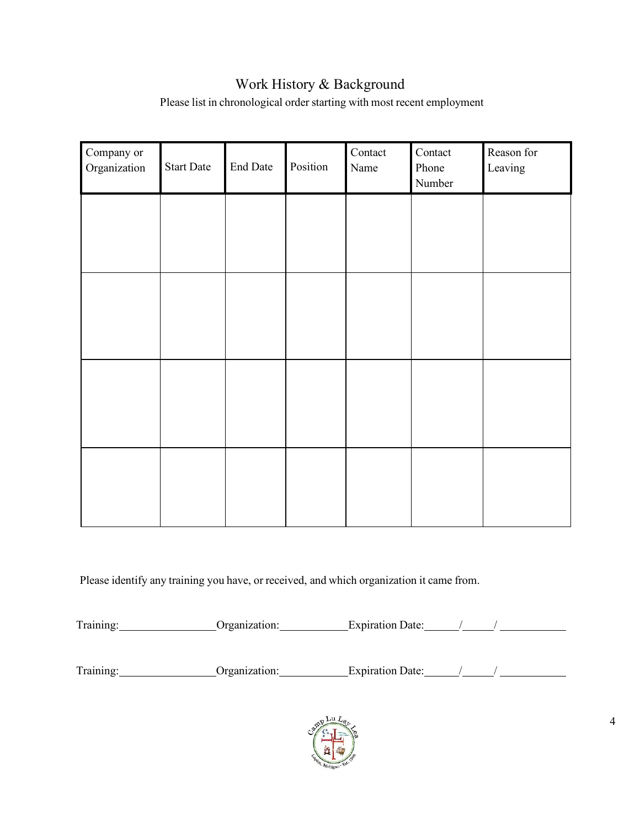## Work History & Background

Please list in chronological order starting with most recent employment

| Company or<br>Organization | <b>Start Date</b> | End Date | Position | Contact<br>Name | Contact<br>Phone<br>Number | Reason for<br>Leaving |
|----------------------------|-------------------|----------|----------|-----------------|----------------------------|-----------------------|
|                            |                   |          |          |                 |                            |                       |
|                            |                   |          |          |                 |                            |                       |
|                            |                   |          |          |                 |                            |                       |
|                            |                   |          |          |                 |                            |                       |
|                            |                   |          |          |                 |                            |                       |
|                            |                   |          |          |                 |                            |                       |
|                            |                   |          |          |                 |                            |                       |
|                            |                   |          |          |                 |                            |                       |

Please identify any training you have, or received, and which organization it came from.

Training: Organization: Expiration Date: / /

Training: Organization: Expiration Date: / /

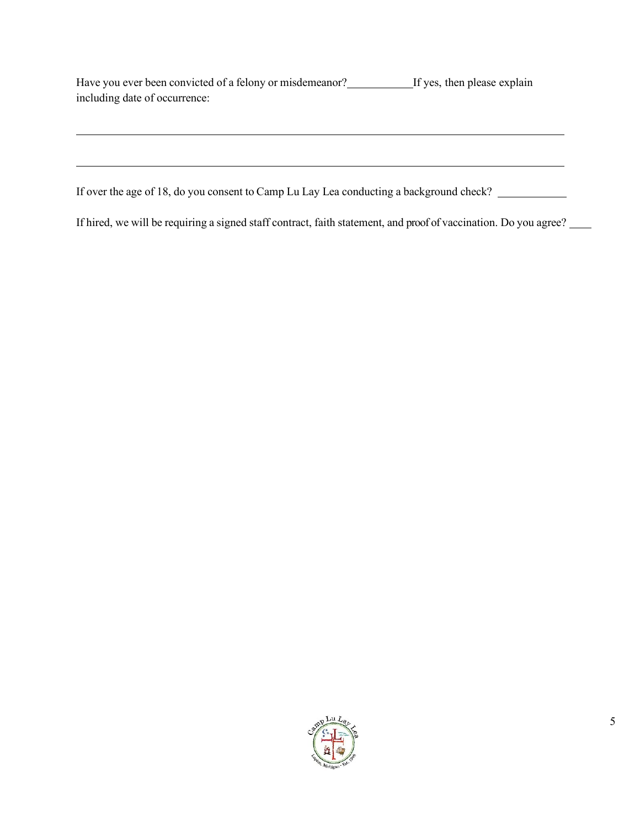| Have you ever been convicted of a felony or misdemeanor? | If yes, then please explain |
|----------------------------------------------------------|-----------------------------|
| including date of occurrence:                            |                             |

If over the age of 18, do you consent to Camp Lu Lay Lea conducting a background check?

If hired, we will be requiring a signed staff contract, faith statement, and proof of vaccination. Do you agree?

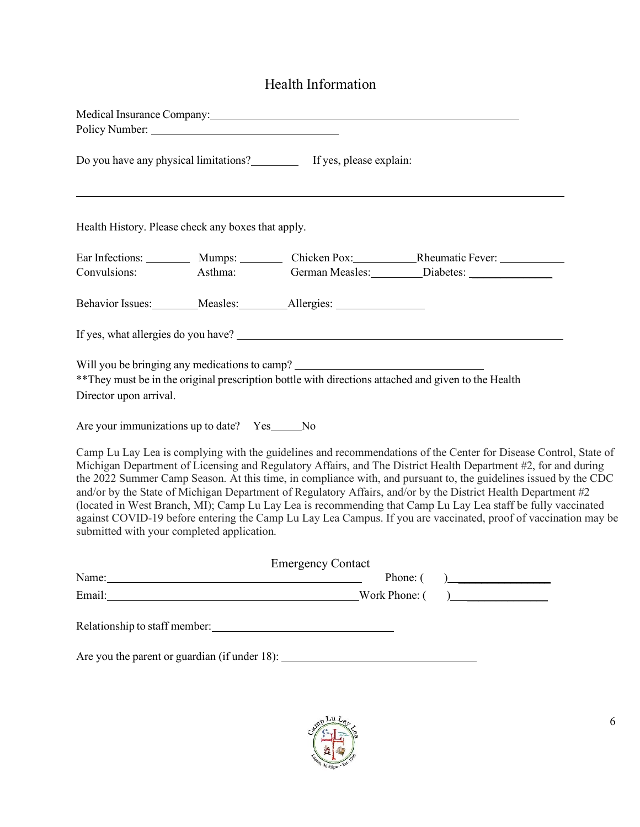## Health Information

|                                                                     |                                                      | Medical Insurance Company: Medical Insurance Company:                                                                                                                                                                          |                                                                                                                                                                                                                                                                                                                                                                                                                                                                                                                                                                                                                                                                                                 |
|---------------------------------------------------------------------|------------------------------------------------------|--------------------------------------------------------------------------------------------------------------------------------------------------------------------------------------------------------------------------------|-------------------------------------------------------------------------------------------------------------------------------------------------------------------------------------------------------------------------------------------------------------------------------------------------------------------------------------------------------------------------------------------------------------------------------------------------------------------------------------------------------------------------------------------------------------------------------------------------------------------------------------------------------------------------------------------------|
|                                                                     |                                                      | Do you have any physical limitations? If yes, please explain:                                                                                                                                                                  |                                                                                                                                                                                                                                                                                                                                                                                                                                                                                                                                                                                                                                                                                                 |
| Health History. Please check any boxes that apply.                  |                                                      |                                                                                                                                                                                                                                |                                                                                                                                                                                                                                                                                                                                                                                                                                                                                                                                                                                                                                                                                                 |
| Convulsions:                                                        |                                                      |                                                                                                                                                                                                                                | Ear Infections: __________ Mumps: _________ Chicken Pox: ______________Rheumatic Fever: ___________<br>Asthma: German Measles: Diabetes: 2012                                                                                                                                                                                                                                                                                                                                                                                                                                                                                                                                                   |
|                                                                     |                                                      | Behavior Issues: Measles: Allergies: Measles: Measles: Measles: Measles: Measles: Measles: Measles: Measles: Measles: Measles: Measles: Measles: Measles: Measles: Measles: Measles: Measles: Measles: Measles: Measles: Measl |                                                                                                                                                                                                                                                                                                                                                                                                                                                                                                                                                                                                                                                                                                 |
|                                                                     |                                                      |                                                                                                                                                                                                                                |                                                                                                                                                                                                                                                                                                                                                                                                                                                                                                                                                                                                                                                                                                 |
| Director upon arrival.<br>Are your immunizations up to date? Yes No |                                                      | Will you be bringing any medications to camp? __________________________________                                                                                                                                               | ** They must be in the original prescription bottle with directions attached and given to the Health<br>Camp Lu Lay Lea is complying with the guidelines and recommendations of the Center for Disease Control, State of<br>Michigan Department of Licensing and Regulatory Affairs, and The District Health Department #2, for and during<br>the 2022 Summer Camp Season. At this time, in compliance with, and pursuant to, the guidelines issued by the CDC<br>and/or by the State of Michigan Department of Regulatory Affairs, and/or by the District Health Department #2<br>(located in West Branch, MI); Camp Lu Lay Lea is recommending that Camp Lu Lay Lea staff be fully vaccinated |
| submitted with your completed application.                          |                                                      |                                                                                                                                                                                                                                | against COVID-19 before entering the Camp Lu Lay Lea Campus. If you are vaccinated, proof of vaccination may be                                                                                                                                                                                                                                                                                                                                                                                                                                                                                                                                                                                 |
| Name:                                                               |                                                      | <b>Emergency Contact</b>                                                                                                                                                                                                       | Phone: (                                                                                                                                                                                                                                                                                                                                                                                                                                                                                                                                                                                                                                                                                        |
|                                                                     | <u> 1989 - Johann Stoff, Amerikaansk politiker (</u> |                                                                                                                                                                                                                                |                                                                                                                                                                                                                                                                                                                                                                                                                                                                                                                                                                                                                                                                                                 |
|                                                                     |                                                      | Email: Work Phone: (<br>Are you the parent or guardian (if under 18): ___________________________________                                                                                                                      |                                                                                                                                                                                                                                                                                                                                                                                                                                                                                                                                                                                                                                                                                                 |